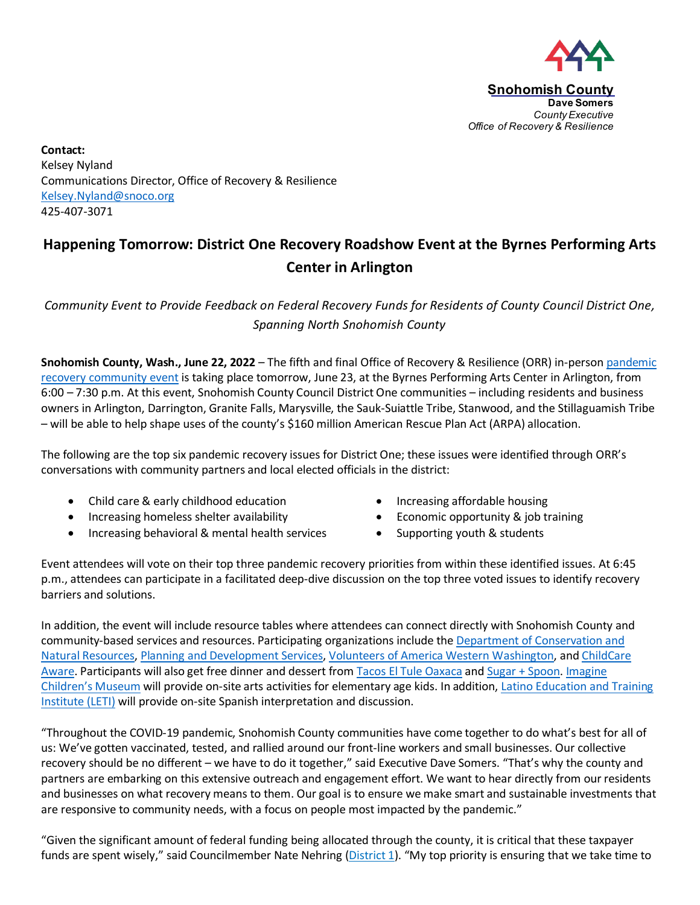

**Contact:**  Kelsey Nyland Communications Director, Office of Recovery & Resilience [Kelsey.Nyland@snoco.org](mailto:Kelsey.Nyland@snoco.org) 425-407-3071

## **Happening Tomorrow: District One Recovery Roadshow Event at the Byrnes Performing Arts Center in Arlington**

*Community Event to Provide Feedback on Federal Recovery Funds for Residents of County Council District One, Spanning North Snohomish County*

**Snohomish County, Wash., June 22, 2022** – The fifth and final Office of Recovery & Resilience (ORR) in-perso[n pandemic](https://snohomishcountywa.gov/6047)  [recovery community event](https://snohomishcountywa.gov/6047) is taking place tomorrow, June 23, at the Byrnes Performing Arts Center in Arlington, from 6:00 – 7:30 p.m. At this event, Snohomish County Council District One communities – including residents and business owners in Arlington, Darrington, Granite Falls, Marysville, the Sauk-Suiattle Tribe, Stanwood, and the Stillaguamish Tribe – will be able to help shape uses of the county's \$160 million American Rescue Plan Act (ARPA) allocation.

The following are the top six pandemic recovery issues for District One; these issues were identified through ORR's conversations with community partners and local elected officials in the district:

- Child care & early childhood education Increasing affordable housing
- Increasing homeless shelter availability **•** Economic opportunity & job training
- Increasing behavioral & mental health services Supporting youth & students
- 
- 
- 

Event attendees will vote on their top three pandemic recovery priorities from within these identified issues. At 6:45 p.m., attendees can participate in a facilitated deep-dive discussion on the top three voted issues to identify recovery barriers and solutions.

In addition, the event will include resource tables where attendees can connect directly with Snohomish County and community-based services and resources. Participating organizations include the [Department of Conservation and](https://snohomishcountywa.gov/5758)  [Natural Resources,](https://snohomishcountywa.gov/5758) [Planning and Development Services,](https://snohomishcountywa.gov/5169) [Volunteers of America Western Washington,](https://www.voaww.org/) and [ChildCare](https://www.ccanorthwest.org/)  [Aware.](https://www.ccanorthwest.org/) Participants will also get free dinner and dessert from [Tacos El Tule Oaxaca](https://www.facebook.com/Tacos-El-Tule-Oaxaca-176754596291041/) and [Sugar + Spoon.](https://sugarspoondough.com/) [Imagine](https://www.imaginecm.org/)  [Children's Museum](https://www.imaginecm.org/) will provide on-site arts activities for elementary age kids. In addition, [Latino Education and Training](https://www.letiwa.org/)  [Institute \(LETI\)](https://www.letiwa.org/) will provide on-site Spanish interpretation and discussion.

"Throughout the COVID-19 pandemic, Snohomish County communities have come together to do what's best for all of us: We've gotten vaccinated, tested, and rallied around our front-line workers and small businesses. Our collective recovery should be no different – we have to do it together," said Executive Dave Somers. "That's why the county and partners are embarking on this extensive outreach and engagement effort. We want to hear directly from our residents and businesses on what recovery means to them. Our goal is to ensure we make smart and sustainable investments that are responsive to community needs, with a focus on people most impacted by the pandemic."

"Given the significant amount of federal funding being allocated through the county, it is critical that these taxpayer funds are spent wisely," said Councilmember Nate Nehring [\(District 1\)](https://snohomishcountywa.gov/764). "My top priority is ensuring that we take time to